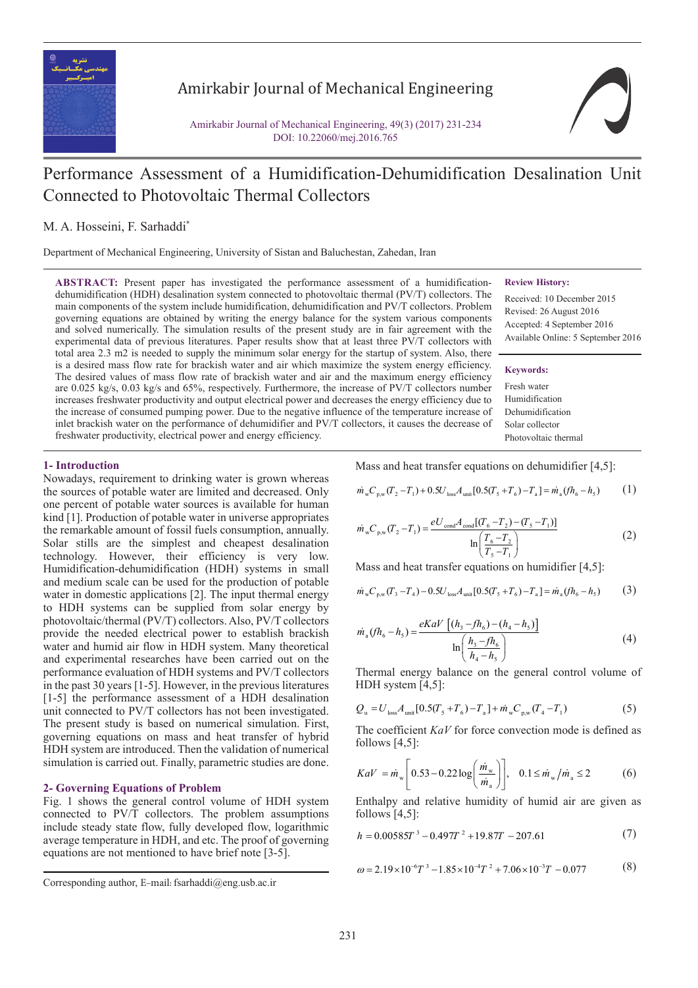

## Amirkabir Journal of Mechanical Engineering

Amirkabir Journal of Mechanical Engineering, 49(3) (2017) 231-234 DOI: 10.22060/mej.2016.765

# Performance Assessment of a Humidification-Dehumidification Desalination Unit Connected to Photovoltaic Thermal Collectors

M. A. Hosseini, F. Sarhaddi\*

Department of Mechanical Engineering, University of Sistan and Baluchestan, Zahedan, Iran

**ABSTRACT:** Present paper has investigated the performance assessment of a humidificationdehumidification (HDH) desalination system connected to photovoltaic thermal (PV/T) collectors. The main components of the system include humidification, dehumidification and PV/T collectors. Problem governing equations are obtained by writing the energy balance for the system various components and solved numerically. The simulation results of the present study are in fair agreement with the experimental data of previous literatures. Paper results show that at least three PV/T collectors with total area 2.3 m2 is needed to supply the minimum solar energy for the startup of system. Also, there is a desired mass flow rate for brackish water and air which maximize the system energy efficiency. The desired values of mass flow rate of brackish water and air and the maximum energy efficiency are 0.025 kg/s, 0.03 kg/s and 65%, respectively. Furthermore, the increase of PV/T collectors number increases freshwater productivity and output electrical power and decreases the energy efficiency due to the increase of consumed pumping power. Due to the negative influence of the temperature increase of inlet brackish water on the performance of dehumidifier and PV/T collectors, it causes the decrease of freshwater productivity, electrical power and energy efficiency.

## **1- Introduction**

Nowadays, requirement to drinking water is grown whereas the sources of potable water are limited and decreased. Only one percent of potable water sources is available for human kind [1]. Production of potable water in universe appropriates the remarkable amount of fossil fuels consumption, annually. Solar stills are the simplest and cheapest desalination technology. However, their efficiency is very low. Humidification-dehumidification (HDH) systems in small and medium scale can be used for the production of potable water in domestic applications [2]. The input thermal energy to HDH systems can be supplied from solar energy by photovoltaic/thermal (PV/T) collectors. Also, PV/T collectors provide the needed electrical power to establish brackish water and humid air flow in HDH system. Many theoretical and experimental researches have been carried out on the performance evaluation of HDH systems and PV/T collectors in the past 30 years [1-5]. However, in the previous literatures [1-5] the performance assessment of a HDH desalination unit connected to PV/T collectors has not been investigated. The present study is based on numerical simulation. First, governing equations on mass and heat transfer of hybrid HDH system are introduced. Then the validation of numerical simulation is carried out. Finally, parametric studies are done.

## **2- Governing Equations of Problem**

Fig. 1 shows the general control volume of HDH system connected to PV/T collectors. The problem assumptions include steady state flow, fully developed flow, logarithmic average temperature in HDH, and etc. The proof of governing equations are not mentioned to have brief note [3-5].

Mass and heat transfer equations on dehumidifier [4,5]:

$$
\dot{m}_{\rm w} C_{\rm p,w} (T_2 - T_1) + 0.5 U_{\rm loss} A_{\rm unit} [0.5 (T_5 + T_6) - T_a] = \dot{m}_a (f h_6 - h_5)
$$
 (1)

$$
\dot{m}_{\rm w} C_{\rm p,w}(T_2 - T_1) = \frac{eU_{\rm cond} A_{\rm cond}[(T_6 - T_2) - (T_5 - T_1)]}{\ln\left(\frac{T_6 - T_2}{T_5 - T_1}\right)}
$$
(2)

Mass and heat transfer equations on humidifier [4,5]:

$$
\dot{m}_{\rm w} C_{\rm p,w} (T_3 - T_4) - 0.5 U_{\rm loss} A_{\rm unit} [0.5 (T_5 + T_6) - T_a] = \dot{m}_a (f h_6 - h_5)
$$
 (3)

$$
\dot{m}_a(fh_6 - h_5) = \frac{eKaV[(h_3 - fh_6) - (h_4 - h_5)]}{\ln\left(\frac{h_3 - fh_6}{h_4 - h_5}\right)}
$$
(4)

Thermal energy balance on the general control volume of HDH system [4,5]:

$$
Q_{u} = U_{\text{loss}} A_{\text{unit}} [0.5(T_{5} + T_{6}) - T_{a}] + \dot{m}_{w} C_{p,w} (T_{4} - T_{1})
$$
(5)

The coefficient *KaV* for force convection mode is defined as follows [4,5]:

$$
KaV = \dot{m}_w \left[ 0.53 - 0.22 \log \left( \frac{\dot{m}_w}{\dot{m}_a} \right) \right], \quad 0.1 \le \dot{m}_w / \dot{m}_a \le 2 \tag{6}
$$

Enthalpy and relative humidity of humid air are given as follows [4,5]:

$$
h = 0.00585T^{3} - 0.497T^{2} + 19.87T - 207.61
$$
 (7)

$$
\omega = 2.19 \times 10^{-6} T^3 - 1.85 \times 10^{-4} T^2 + 7.06 \times 10^{-3} T - 0.077
$$
 (8)

#### **Review History:**

Received: 10 December 2015 Revised: 26 August 2016 Accepted: 4 September 2016 Available Online: 5 September 2016

#### **Keywords:**

Fresh water Humidification Dehumidification Solar collector Photovoltaic thermal

Corresponding author, E-mail: fsarhaddi@eng.usb.ac.ir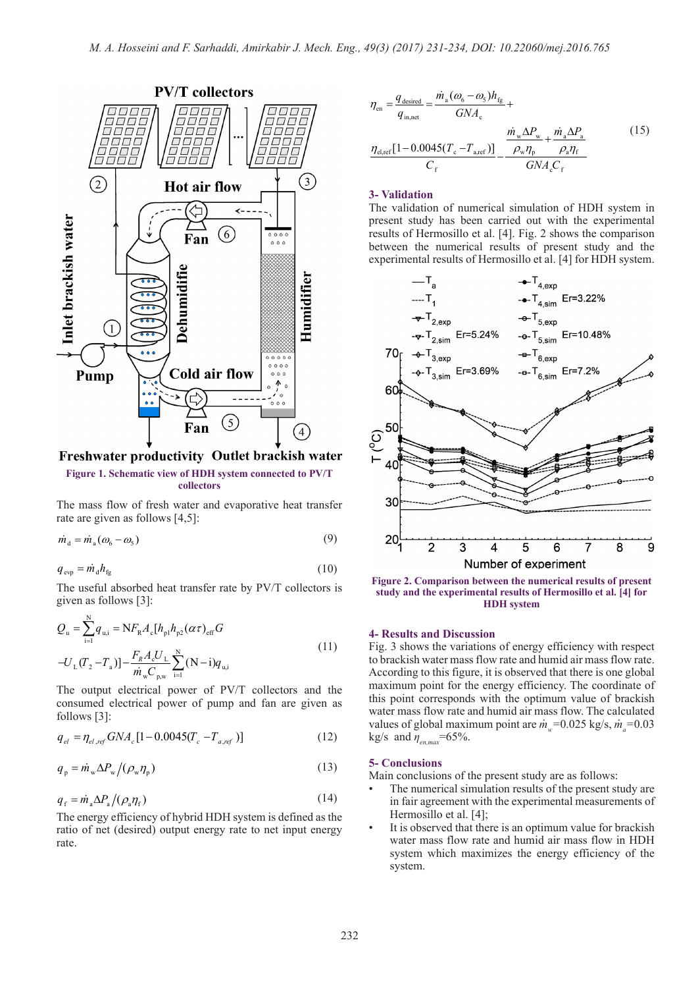

Freshwater productivity Outlet brackish water

**Figure 1. Schematic view of HDH system connected to PV/T collectors**

The mass flow of fresh water and evaporative heat transfer rate are given as follows [4,5]:

$$
\dot{m}_d = \dot{m}_a (\omega_6 - \omega_5) \tag{9}
$$

$$
q_{\rm evp} = \dot{m}_{\rm d} h_{\rm fg} \tag{10}
$$

The useful absorbed heat transfer rate by PV/T collectors is given as follows [3]:

$$
Q_{u} = \sum_{i=1}^{N} q_{u,i} = NF_{R}A_{c}[h_{p1}h_{p2}(\alpha \tau)_{eff}G
$$
  

$$
-U_{L}(T_{2} - T_{a})] - \frac{F_{R}A_{c}U_{L}}{\dot{m}_{w}C_{p,w}} \sum_{i=1}^{N} (N - i)q_{u,i}
$$
(11)

The output electrical power of PV/T collectors and the consumed electrical power of pump and fan are given as follows [3]:

$$
q_{el} = \eta_{el,ref} G N A_c [1 - 0.0045 (T_c - T_{a,ref})]
$$
 (12)

$$
q_{\rm p} = \dot{m}_{\rm w} \Delta P_{\rm w} / (\rho_{\rm w} \eta_{\rm p}) \tag{13}
$$

$$
q_{\rm f} = \dot{m}_{\rm a} \Delta P_{\rm a} / (\rho_{\rm a} \eta_{\rm f}) \tag{14}
$$

The energy efficiency of hybrid HDH system is defined as the ratio of net (desired) output energy rate to net input energy rate.

$$
\eta_{\text{en}} = \frac{q_{\text{desired}}}{q_{\text{in,net}}} = \frac{\dot{m}_{\text{a}}(\omega_{\text{6}} - \omega_{\text{5}})h_{\text{fg}}}{GNA_{\text{c}}} + \frac{\dot{m}_{\text{w}}\Delta P_{\text{w}}}{\sqrt{N_{\text{e}}}\Delta P_{\text{e}} + \frac{\dot{m}_{\text{a}}\Delta P_{\text{a}}}{\sqrt{N_{\text{e}}}\Delta P_{\text{e}}}} \qquad (15)
$$
\n
$$
\frac{\eta_{\text{e,ref}}[1 - 0.0045(T_{\text{c}} - T_{\text{a,ref}})]}{C_{\text{f}}} - \frac{\rho_{\text{w}}\eta_{\text{p}}}{GNA_{\text{c}}C_{\text{f}}}
$$

## **3- Validation**

The validation of numerical simulation of HDH system in present study has been carried out with the experimental results of Hermosillo et al. [4]. Fig. 2 shows the comparison between the numerical results of present study and the experimental results of Hermosillo et al. [4] for HDH system.



**Figure 2. Comparison between the numerical results of present study and the experimental results of Hermosillo et al. [4] for HDH system**

## **4- Results and Discussion**

Fig. 3 shows the variations of energy efficiency with respect to brackish water mass flow rate and humid air mass flow rate. According to this figure, it is observed that there is one global maximum point for the energy efficiency. The coordinate of this point corresponds with the optimum value of brackish water mass flow rate and humid air mass flow. The calculated values of global maximum point are  $\dot{m}_w = 0.025$  kg/s,  $\dot{m}_a = 0.03$ kg/s and  $\eta_{\text{en max}}$ =65%.

## **5- Conclusions**

Main conclusions of the present study are as follows:

- The numerical simulation results of the present study are in fair agreement with the experimental measurements of Hermosillo et al. [4];
- It is observed that there is an optimum value for brackish water mass flow rate and humid air mass flow in HDH system which maximizes the energy efficiency of the system.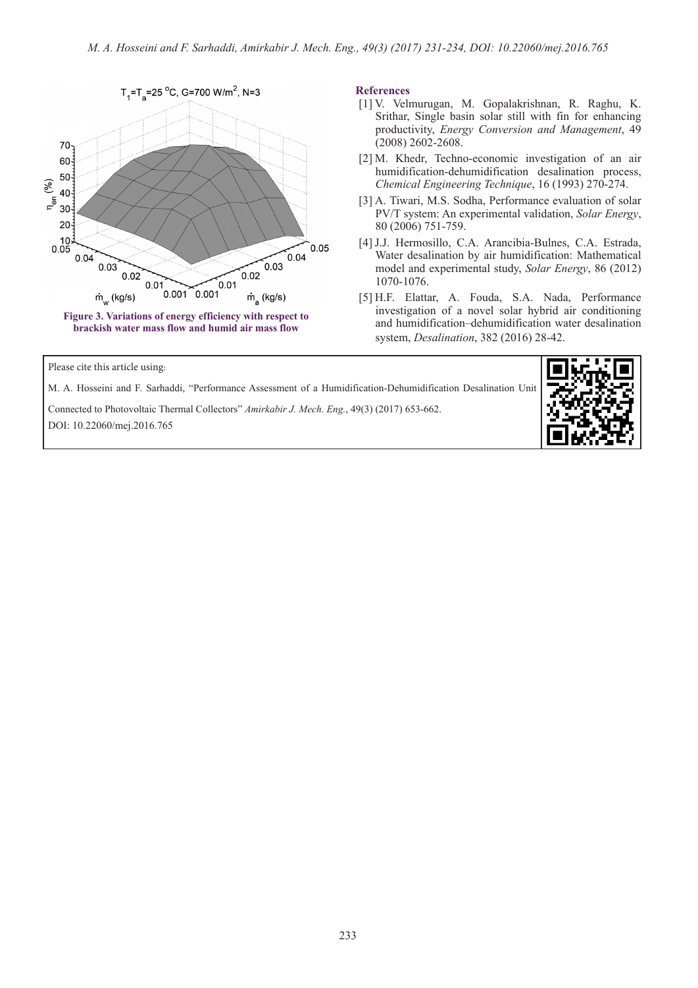

**References**

- [1] V. Velmurugan, M. Gopalakrishnan, R. Raghu, K. Srithar, Single basin solar still with fin for enhancing productivity, *Energy Conversion and Management*, 49 (2008) 2602-2608.
- [2] M. Khedr, Techno-economic investigation of an air humidification-dehumidification desalination process, *Chemical Engineering Technique*, 16 (1993) 270-274.
- [3] A. Tiwari, M.S. Sodha, Performance evaluation of solar PV/T system: An experimental validation, *Solar Energy*, 80 (2006) 751-759.
- [4] J.J. Hermosillo, C.A. Arancibia-Bulnes, C.A. Estrada, Water desalination by air humidification: Mathematical model and experimental study, *Solar Energy*, 86 (2012) 1070-1076.
- [5] H.F. Elattar, A. Fouda, S.A. Nada, Performance investigation of a novel solar hybrid air conditioning and humidification–dehumidification water desalination system, *Desalination*, 382 (2016) 28-42.

Please cite this article using:

M. A. Hosseini and F. Sarhaddi, "Performance Assessment of a Humidification-Dehumidification Desalination Unit

Connected to Photovoltaic Thermal Collectors" *Amirkabir J. Mech. Eng.*, 49(3) (2017) 653-662. DOI: 10.22060/mej.2016.765